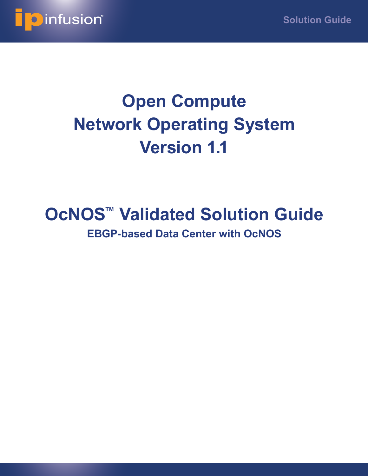

# **Open Compute Network Operating System Version 1.1**

# **OcNOS™ Validated Solution Guide EBGP-based Data Center with OcNOS**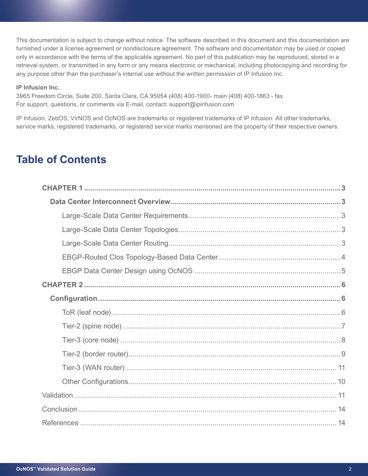This documentation is subject to change without notice. The software described in this document and this documentation are furnished under a license agreement or nondisclosure agreement. The software and documentation may be used or copied only in accordance with the terms of the applicable agreement. No part of this publication may be reproduced, stored in a retrieval system, or transmitted in any form or any means electronic or mechanical, including photocopying and recording for any purpose other than the purchaser's internal use without the written permission of IP Infusion Inc.

### **IP Infusion Inc.**

3965 Freedom Circle, Suite 200, Santa Clara, CA 95054 (408) 400-1900- main (408) 400-1863 - fax For support, questions, or comments via E-mail, contact: support@ipinfusion.com

IP Infusion, ZebOS, VirNOS and OcNOS are trademarks or registered trademarks of IP Infusion. All other trademarks, service marks, registered trademarks, or registered service marks mentioned are the property of their respective owners.

# **Table of Contents**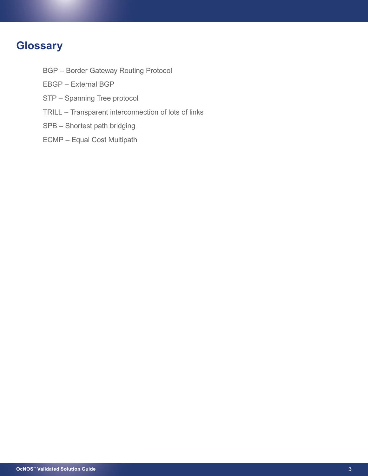# **Glossary**

- BGP Border Gateway Routing Protocol
- EBGP External BGP
- STP Spanning Tree protocol
- TRILL Transparent interconnection of lots of links
- SPB Shortest path bridging
- ECMP Equal Cost Multipath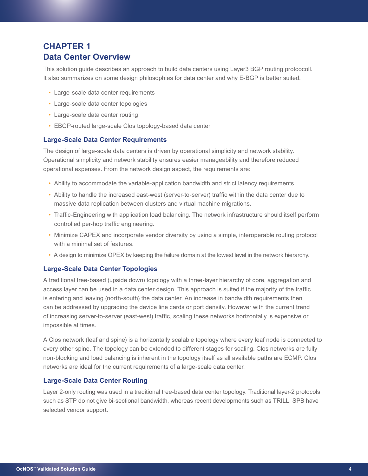# **CHAPTER 1 Data Center Overview**

This solution guide describes an approach to build data centers using Layer3 BGP routing protcocoll. It also summarizes on some design philosophies for data center and why E-BGP is better suited.

- Large-scale data center requirements
- Large-scale data center topologies
- Large-scale data center routing
- EBGP-routed large-scale Clos topology-based data center

# **Large-Scale Data Center Requirements**

The design of large-scale data centers is driven by operational simplicity and network stability. Operational simplicity and network stability ensures easier manageability and therefore reduced operational expenses. From the network design aspect, the requirements are:

- Ability to accommodate the variable-application bandwidth and strict latency requirements.
- Ability to handle the increased east-west (server-to-server) traffic within the data center due to massive data replication between clusters and virtual machine migrations.
- Traffic-Engineering with application load balancing. The network infrastructure should itself perform controlled per-hop traffic engineering.
- Minimize CAPEX and incorporate vendor diversity by using a simple, interoperable routing protocol with a minimal set of features.
- A design to minimize OPEX by keeping the failure domain at the lowest level in the network hierarchy.

# **Large-Scale Data Center Topologies**

A traditional tree-based (upside down) topology with a three-layer hierarchy of core, aggregation and access layer can be used in a data center design. This approach is suited if the majority of the traffic is entering and leaving (north-south) the data center. An increase in bandwidth requirements then can be addressed by upgrading the device line cards or port density. However with the current trend of increasing server-to-server (east-west) traffic, scaling these networks horizontally is expensive or impossible at times.

A Clos network (leaf and spine) is a horizontally scalable topology where every leaf node is connected to every other spine. The topology can be extended to different stages for scaling. Clos networks are fully non-blocking and load balancing is inherent in the topology itself as all available paths are ECMP. Clos networks are ideal for the current requirements of a large-scale data center.

# **Large-Scale Data Center Routing**

Layer 2-only routing was used in a traditional tree-based data center topology. Traditional layer-2 protocols such as STP do not give bi-sectional bandwidth, whereas recent developments such as TRILL, SPB have selected vendor support.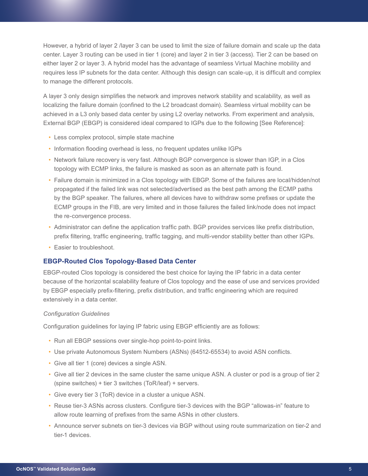However, a hybrid of layer 2 /layer 3 can be used to limit the size of failure domain and scale up the data center. Layer 3 routing can be used in tier 1 (core) and layer 2 in tier 3 (access). Tier 2 can be based on either layer 2 or layer 3. A hybrid model has the advantage of seamless Virtual Machine mobility and requires less IP subnets for the data center. Although this design can scale-up, it is difficult and complex to manage the different protocols.

A layer 3 only design simplifies the network and improves network stability and scalability, as well as localizing the failure domain (confined to the L2 broadcast domain). Seamless virtual mobility can be achieved in a L3 only based data center by using L2 overlay networks. From experiment and analysis, External BGP (EBGP) is considered ideal compared to IGPs due to the following [See Reference]:

- Less complex protocol, simple state machine
- Information flooding overhead is less, no frequent updates unlike IGPs
- Network failure recovery is very fast. Although BGP convergence is slower than IGP, in a Clos topology with ECMP links, the failure is masked as soon as an alternate path is found.
- Failure domain is minimized in a Clos topology with EBGP. Some of the failures are local/hidden/not propagated if the failed link was not selected/advertised as the best path among the ECMP paths by the BGP speaker. The failures, where all devices have to withdraw some prefixes or update the ECMP groups in the FIB, are very limited and in those failures the failed link/node does not impact the re-convergence process.
- Administrator can define the application traffic path. BGP provides services like prefix distribution, prefix filtering, traffic engineering, traffic tagging, and multi-vendor stability better than other IGPs.
- Easier to troubleshoot.

# **EBGP-Routed Clos Topology-Based Data Center**

EBGP-routed Clos topology is considered the best choice for laying the IP fabric in a data center because of the horizontal scalability feature of Clos topology and the ease of use and services provided by EBGP especially prefix-filtering, prefix distribution, and traffic engineering which are required extensively in a data center.

### *Configuration Guidelines*

Configuration guidelines for laying IP fabric using EBGP efficiently are as follows:

- Run all EBGP sessions over single-hop point-to-point links.
- Use private Autonomous System Numbers (ASNs) (64512-65534) to avoid ASN conflicts.
- Give all tier 1 (core) devices a single ASN.
- Give all tier 2 devices in the same cluster the same unique ASN. A cluster or pod is a group of tier 2 (spine switches) + tier 3 switches (ToR/leaf) + servers.
- Give every tier 3 (ToR) device in a cluster a unique ASN.
- Reuse tier-3 ASNs across clusters. Configure tier-3 devices with the BGP "allowas-in" feature to allow route learning of prefixes from the same ASNs in other clusters.
- Announce server subnets on tier-3 devices via BGP without using route summarization on tier-2 and tier-1 devices.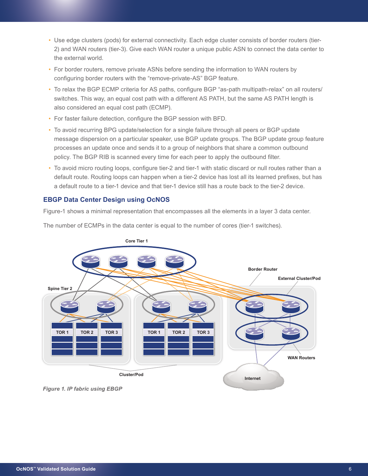- Use edge clusters (pods) for external connectivity. Each edge cluster consists of border routers (tier-2) and WAN routers (tier-3). Give each WAN router a unique public ASN to connect the data center to the external world.
- For border routers, remove private ASNs before sending the information to WAN routers by configuring border routers with the "remove-private-AS" BGP feature.
- To relax the BGP ECMP criteria for AS paths, configure BGP "as-path multipath-relax" on all routers/ switches. This way, an equal cost path with a different AS PATH, but the same AS PATH length is also considered an equal cost path (ECMP).
- For faster failure detection, configure the BGP session with BFD.
- To avoid recurring BPG update/selection for a single failure through all peers or BGP update message dispersion on a particular speaker, use BGP update groups. The BGP update group feature processes an update once and sends it to a group of neighbors that share a common outbound policy. The BGP RIB is scanned every time for each peer to apply the outbound filter.
- To avoid micro routing loops, configure tier-2 and tier-1 with static discard or null routes rather than a default route. Routing loops can happen when a tier-2 device has lost all its learned prefixes, but has a default route to a tier-1 device and that tier-1 device still has a route back to the tier-2 device.

# **EBGP Data Center Design using OcNOS**

Figure-1 shows a minimal representation that encompasses all the elements in a layer 3 data center.





*Figure 1. IP fabric using EBGP*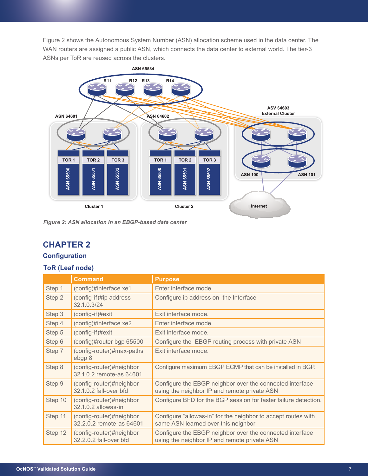Figure 2 shows the Autonomous System Number (ASN) allocation scheme used in the data center. The WAN routers are assigned a public ASN, which connects the data center to external world. The tier-3 ASNs per ToR are reused across the clusters.



*Figure 2: ASN allocation in an EBGP-based data center*

# **CHAPTER 2**

# **Configuration**

# **ToR (Leaf node)**

|         | <b>Command</b>                                       | <b>Purpose</b>                                                                                           |  |  |  |  |
|---------|------------------------------------------------------|----------------------------------------------------------------------------------------------------------|--|--|--|--|
| Step 1  | (config)#interface xe1                               | Enter interface mode.                                                                                    |  |  |  |  |
| Step 2  | (config-if)#ip address<br>32.1.0.3/24                | Configure ip address on the Interface                                                                    |  |  |  |  |
| Step 3  | (config-if)#exit                                     | Exit interface mode.                                                                                     |  |  |  |  |
| Step 4  | (config)#interface xe2                               | Enter interface mode.                                                                                    |  |  |  |  |
| Step 5  | $(config-if)\#exit$                                  | Exit interface mode.                                                                                     |  |  |  |  |
| Step 6  | (config)#router bgp 65500                            | Configure the EBGP routing process with private ASN                                                      |  |  |  |  |
| Step 7  | (config-router)#max-paths<br>ebgp 8                  | Exit interface mode.                                                                                     |  |  |  |  |
| Step 8  | (config-router)#neighbor<br>32.1.0.2 remote-as 64601 | Configure maximum EBGP ECMP that can be installed in BGP.                                                |  |  |  |  |
| Step 9  | (config-router)#neighbor<br>32.1.0.2 fall-over bfd   | Configure the EBGP neighbor over the connected interface<br>using the neighbor IP and remote private ASN |  |  |  |  |
| Step 10 | (config-router)#neighbor<br>32.1.0.2 allowas-in      | Configure BFD for the BGP session for faster failure detection.                                          |  |  |  |  |
| Step 11 | (config-router)#neighbor<br>32.2.0.2 remote-as 64601 | Configure "allowas-in" for the neighbor to accept routes with<br>same ASN learned over this neighbor     |  |  |  |  |
| Step 12 | (config-router)#neighbor<br>32.2.0.2 fall-over bfd   | Configure the EBGP neighbor over the connected interface<br>using the neighbor IP and remote private ASN |  |  |  |  |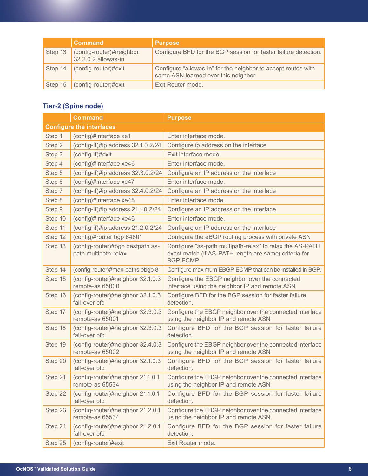|         | <b>Command</b>                                  | <b>Purpose</b>                                                                                       |
|---------|-------------------------------------------------|------------------------------------------------------------------------------------------------------|
| Step 13 | (config-router)#neighbor<br>32.2.0.2 allowas-in | Configure BFD for the BGP session for faster failure detection.                                      |
| Step 14 | (config-router)#exit                            | Configure "allowas-in" for the neighbor to accept routes with<br>same ASN learned over this neighbor |
| Step 15 | $\int$ (config-router)#exit                     | Exit Router mode.                                                                                    |

# **Tier-2 (Spine node)**

|                                                               | <b>Command</b><br><b>Purpose</b>                         |                                                                                                                                      |  |  |  |  |
|---------------------------------------------------------------|----------------------------------------------------------|--------------------------------------------------------------------------------------------------------------------------------------|--|--|--|--|
|                                                               | <b>Configure the interfaces</b>                          |                                                                                                                                      |  |  |  |  |
| Step 1                                                        | (config)#interface xe1                                   | Enter interface mode.                                                                                                                |  |  |  |  |
| Step 2                                                        | (config-if)#ip address 32.1.0.2/24                       | Configure ip address on the interface                                                                                                |  |  |  |  |
| Step 3                                                        | (config-if)#exit                                         | Exit interface mode.                                                                                                                 |  |  |  |  |
| Step 4                                                        | (config)#interface xe46                                  | Enter interface mode.                                                                                                                |  |  |  |  |
| Step 5                                                        | (config-if)#ip address 32.3.0.2/24                       | Configure an IP address on the interface                                                                                             |  |  |  |  |
| Step 6                                                        | (config)#interface xe47                                  | Enter interface mode.                                                                                                                |  |  |  |  |
| Step 7                                                        | (config-if)#ip address 32.4.0.2/24                       | Configure an IP address on the interface                                                                                             |  |  |  |  |
| Step 8                                                        | (config)#interface xe48                                  | Enter interface mode.                                                                                                                |  |  |  |  |
| Step 9                                                        | (config-if)#ip address 21.1.0.2/24                       | Configure an IP address on the interface                                                                                             |  |  |  |  |
| Step 10                                                       | (config)#interface xe46                                  | Enter interface mode.                                                                                                                |  |  |  |  |
| Step 11                                                       | (config-if)#ip address 21.2.0.2/24                       | Configure an IP address on the interface                                                                                             |  |  |  |  |
| Step 12                                                       | (config)#router bgp 64601                                | Configure the eBGP routing process with private ASN                                                                                  |  |  |  |  |
| Step 13                                                       | (config-router)#bgp bestpath as-<br>path multipath-relax | Configure "as-path multipath-relax" to relax the AS-PATH<br>exact match (if AS-PATH length are same) criteria for<br><b>BGP ECMP</b> |  |  |  |  |
| Step 14                                                       | (config-router)#max-paths ebgp 8                         | Configure maximum EBGP ECMP that can be installed in BGP.                                                                            |  |  |  |  |
| Step 15                                                       | (config-router)#neighbor 32.1.0.3<br>remote-as 65000     | Configure the EBGP neighbor over the connected<br>interface using the neighbor IP and remote ASN                                     |  |  |  |  |
| Step 16                                                       | (config-router)#neighbor 32.1.0.3<br>fall-over bfd       | Configure BFD for the BGP session for faster failure<br>detection.                                                                   |  |  |  |  |
| Step 17                                                       | (config-router)#neighbor 32.3.0.3<br>remote-as 65001     | Configure the EBGP neighbor over the connected interface<br>using the neighbor IP and remote ASN                                     |  |  |  |  |
| Step 18                                                       | (config-router)#neighbor 32.3.0.3<br>fall-over bfd       | Configure BFD for the BGP session for faster failure<br>detection.                                                                   |  |  |  |  |
| Step 19                                                       | (config-router)#neighbor 32.4.0.3<br>remote-as 65002     | Configure the EBGP neighbor over the connected interface<br>using the neighbor IP and remote ASN                                     |  |  |  |  |
| Step 20<br>(config-router)#neighbor 32.1.0.3<br>fall-over bfd |                                                          | Configure BFD for the BGP session for faster failure<br>detection.                                                                   |  |  |  |  |
| Step 21                                                       | (config-router)#neighbor 21.1.0.1<br>remote-as 65534     | Configure the EBGP neighbor over the connected interface<br>using the neighbor IP and remote ASN                                     |  |  |  |  |
| Step 22                                                       | (config-router)#neighbor 21.1.0.1<br>fall-over bfd       | Configure BFD for the BGP session for faster failure<br>detection.                                                                   |  |  |  |  |
| Step 23                                                       | (config-router)#neighbor 21.2.0.1<br>remote-as 65534     | Configure the EBGP neighbor over the connected interface<br>using the neighbor IP and remote ASN                                     |  |  |  |  |
| Step 24                                                       | (config-router)#neighbor 21.2.0.1<br>fall-over bfd       | Configure BFD for the BGP session for faster failure<br>detection.                                                                   |  |  |  |  |
| Step 25                                                       | (config-router)#exit                                     | Exit Router mode.                                                                                                                    |  |  |  |  |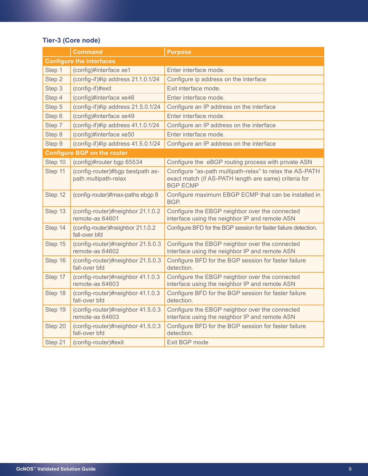# **Tier-3 (Core node)**

|         | <b>Command</b>                                                                                                                                           | <b>Purpose</b>                                                                                                                       |  |
|---------|----------------------------------------------------------------------------------------------------------------------------------------------------------|--------------------------------------------------------------------------------------------------------------------------------------|--|
|         | <b>Configure the interfaces</b>                                                                                                                          |                                                                                                                                      |  |
| Step 1  | (config)#interface xe1                                                                                                                                   | Enter interface mode.                                                                                                                |  |
| Step 2  | (config-if)#ip address 21.1.0.1/24                                                                                                                       | Configure ip address on the interface                                                                                                |  |
| Step 3  | (config-if)#exit                                                                                                                                         | Exit interface mode.                                                                                                                 |  |
| Step 4  | (config)#interface xe46                                                                                                                                  | Enter interface mode.                                                                                                                |  |
| Step 5  | (config-if)#ip address 21.5.0.1/24                                                                                                                       | Configure an IP address on the interface                                                                                             |  |
| Step 6  | (config)#interface xe49                                                                                                                                  | Enter interface mode.                                                                                                                |  |
| Step 7  | (config-if)#ip address 41.1.0.1/24                                                                                                                       | Configure an IP address on the interface                                                                                             |  |
| Step 8  | (config)#interface xe50                                                                                                                                  | Enter interface mode.                                                                                                                |  |
| Step 9  | (config-if)#ip address 41.5.0.1/24                                                                                                                       | Configure an IP address on the interface                                                                                             |  |
|         | <b>Configure BGP on the router</b>                                                                                                                       |                                                                                                                                      |  |
| Step 10 | (config)#router bgp 65534                                                                                                                                | Configure the eBGP routing process with private ASN                                                                                  |  |
| Step 11 | (config-router)#bgp bestpath as-<br>path multipath-relax                                                                                                 | Configure "as-path multipath-relax" to relax the AS-PATH<br>exact match (if AS-PATH length are same) criteria for<br><b>BGP ECMP</b> |  |
| Step 12 | (config-router)#max-paths ebgp 8                                                                                                                         | Configure maximum EBGP ECMP that can be installed in<br>BGP.                                                                         |  |
| Step 13 | (config-router)#neighbor 21.1.0.2<br>remote-as 64601                                                                                                     | Configure the EBGP neighbor over the connected<br>interface using the neighbor IP and remote ASN                                     |  |
| Step 14 | (config-router)#neighbor 21.1.0.2<br>fall-over bfd                                                                                                       | Configure BFD for the BGP session for faster failure detection.                                                                      |  |
| Step 15 | (config-router)#neighbor 21.5.0.3<br>remote-as 64602                                                                                                     | Configure the EBGP neighbor over the connected<br>interface using the neighbor IP and remote ASN                                     |  |
| Step 16 | (config-router)#neighbor 21.5.0.3<br>fall-over bfd                                                                                                       | Configure BFD for the BGP session for faster failure<br>detection.                                                                   |  |
| Step 17 | (config-router)#neighbor 41.1.0.3<br>remote-as 64603                                                                                                     | Configure the EBGP neighbor over the connected<br>interface using the neighbor IP and remote ASN                                     |  |
| Step 18 | (config-router)#neighbor 41.1.0.3<br>fall-over bfd                                                                                                       | Configure BFD for the BGP session for faster failure<br>detection.                                                                   |  |
| Step 19 | Configure the EBGP neighbor over the connected<br>(config-router)#neighbor 41.5.0.3<br>interface using the neighbor IP and remote ASN<br>remote-as 64603 |                                                                                                                                      |  |
| Step 20 | (config-router)#neighbor 41.5.0.3<br>fall-over bfd                                                                                                       | Configure BFD for the BGP session for faster failure<br>detection.                                                                   |  |
| Step 21 | (config-router)#exit                                                                                                                                     | Exit BGP mode                                                                                                                        |  |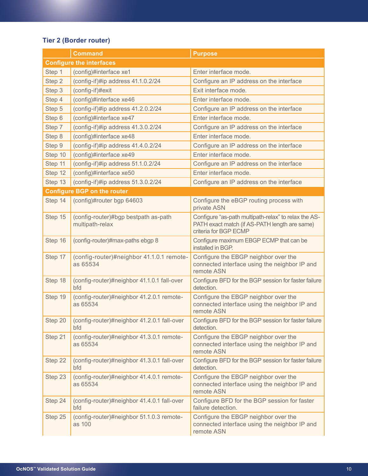# **Tier 2 (Border router)**

|         | <b>Command</b>                                          | <b>Purpose</b>                                                                                                                 |  |  |  |
|---------|---------------------------------------------------------|--------------------------------------------------------------------------------------------------------------------------------|--|--|--|
|         | <b>Configure the interfaces</b>                         |                                                                                                                                |  |  |  |
| Step 1  | (config)#interface xe1                                  | Enter interface mode.                                                                                                          |  |  |  |
| Step 2  | (config-if)#ip address 41.1.0.2/24                      | Configure an IP address on the interface                                                                                       |  |  |  |
| Step 3  | (config-if)#exit                                        | Exit interface mode.                                                                                                           |  |  |  |
| Step 4  | (config)#interface xe46                                 | Enter interface mode.                                                                                                          |  |  |  |
| Step 5  | (config-if)#ip address 41.2.0.2/24                      | Configure an IP address on the interface                                                                                       |  |  |  |
| Step 6  | (config)#interface xe47                                 | Enter interface mode.                                                                                                          |  |  |  |
| Step 7  | (config-if)#ip address 41.3.0.2/24                      | Configure an IP address on the interface                                                                                       |  |  |  |
| Step 8  | (config)#interface xe48                                 | Enter interface mode.                                                                                                          |  |  |  |
| Step 9  | (config-if)#ip address 41.4.0.2/24                      | Configure an IP address on the interface                                                                                       |  |  |  |
| Step 10 | (config)#interface xe49                                 | Enter interface mode.                                                                                                          |  |  |  |
| Step 11 | (config-if)#ip address 51.1.0.2/24                      | Configure an IP address on the interface                                                                                       |  |  |  |
| Step 12 | (config)#interface xe50                                 | Enter interface mode.                                                                                                          |  |  |  |
| Step 13 | (config-if)#ip address 51.3.0.2/24                      | Configure an IP address on the interface                                                                                       |  |  |  |
|         | <b>Configure BGP on the router</b>                      |                                                                                                                                |  |  |  |
| Step 14 | (config)#router bgp 64603                               | Configure the eBGP routing process with<br>private ASN                                                                         |  |  |  |
| Step 15 | (config-router)#bgp bestpath as-path<br>multipath-relax | Configure "as-path multipath-relax" to relax the AS-<br>PATH exact match (if AS-PATH length are same)<br>criteria for BGP ECMP |  |  |  |
| Step 16 | (config-router)#max-paths ebgp 8                        | Configure maximum EBGP ECMP that can be<br>installed in BGP.                                                                   |  |  |  |
| Step 17 | (config-router)#neighbor 41.1.0.1 remote-<br>as 65534   | Configure the EBGP neighbor over the<br>connected interface using the neighbor IP and<br>remote ASN                            |  |  |  |
| Step 18 | (config-router)#neighbor 41.1.0.1 fall-over<br>bfd      | Configure BFD for the BGP session for faster failure<br>detection.                                                             |  |  |  |
| Step 19 | (config-router)#neighbor 41.2.0.1 remote-<br>as 65534   | Configure the EBGP neighbor over the<br>connected interface using the neighbor IP and<br>remote ASN                            |  |  |  |
| Step 20 | (config-router)#neighbor 41.2.0.1 fall-over<br>bfd      | Configure BFD for the BGP session for faster failure<br>detection.                                                             |  |  |  |
| Step 21 | (config-router)#neighbor 41.3.0.1 remote-<br>as 65534   | Configure the EBGP neighbor over the<br>connected interface using the neighbor IP and<br>remote ASN                            |  |  |  |
| Step 22 | (config-router)#neighbor 41.3.0.1 fall-over<br>bfd      | Configure BFD for the BGP session for faster failure<br>detection.                                                             |  |  |  |
| Step 23 | (config-router)#neighbor 41.4.0.1 remote-<br>as 65534   | Configure the EBGP neighbor over the<br>connected interface using the neighbor IP and<br>remote ASN                            |  |  |  |
| Step 24 | (config-router)#neighbor 41.4.0.1 fall-over<br>bfd      | Configure BFD for the BGP session for faster<br>failure detection.                                                             |  |  |  |
| Step 25 | (config-router)#neighbor 51.1.0.3 remote-<br>as 100     | Configure the EBGP neighbor over the<br>connected interface using the neighbor IP and<br>remote ASN                            |  |  |  |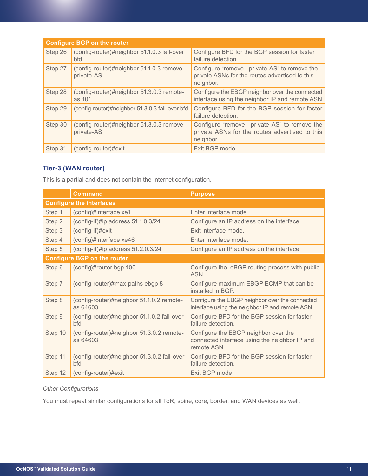|         | <b>Configure BGP on the router</b>                      |                                                                                                             |  |  |  |  |  |  |  |
|---------|---------------------------------------------------------|-------------------------------------------------------------------------------------------------------------|--|--|--|--|--|--|--|
| Step 26 | (config-router)#neighbor 51.1.0.3 fall-over<br>bfd      | Configure BFD for the BGP session for faster<br>failure detection.                                          |  |  |  |  |  |  |  |
| Step 27 | (config-router)#neighbor 51.1.0.3 remove-<br>private-AS | Configure "remove -private-AS" to remove the<br>private ASNs for the routes advertised to this<br>neighbor. |  |  |  |  |  |  |  |
| Step 28 | (config-router)#neighbor 51.3.0.3 remote-<br>as 101     | Configure the EBGP neighbor over the connected<br>interface using the neighbor IP and remote ASN            |  |  |  |  |  |  |  |
| Step 29 | (config-router)#neighbor 51.3.0.3 fall-over bfd         | Configure BFD for the BGP session for faster<br>failure detection.                                          |  |  |  |  |  |  |  |
| Step 30 | (config-router)#neighbor 51.3.0.3 remove-<br>private-AS | Configure "remove -private-AS" to remove the<br>private ASNs for the routes advertised to this<br>neighbor. |  |  |  |  |  |  |  |
| Step 31 | (config-router)#exit                                    | Exit BGP mode                                                                                               |  |  |  |  |  |  |  |

# **Tier-3 (WAN router)**

This is a partial and does not contain the Internet configuration.

|         | <b>Command</b>                                        | <b>Purpose</b>                                                                                      |  |  |  |  |  |
|---------|-------------------------------------------------------|-----------------------------------------------------------------------------------------------------|--|--|--|--|--|
|         | <b>Configure the interfaces</b>                       |                                                                                                     |  |  |  |  |  |
| Step 1  | (config)#interface xe1                                | Enter interface mode.                                                                               |  |  |  |  |  |
| Step 2  | (config-if)#ip address 51.1.0.3/24                    | Configure an IP address on the interface                                                            |  |  |  |  |  |
| Step 3  | (config-if)#exit                                      | Exit interface mode.                                                                                |  |  |  |  |  |
| Step 4  | (config)#interface xe46                               | Enter interface mode.                                                                               |  |  |  |  |  |
| Step 5  | (config-if)#ip address 51.2.0.3/24                    | Configure an IP address on the interface                                                            |  |  |  |  |  |
|         | <b>Configure BGP on the router</b>                    |                                                                                                     |  |  |  |  |  |
| Step 6  | (config)#router bgp 100                               | Configure the eBGP routing process with public<br><b>ASN</b>                                        |  |  |  |  |  |
| Step 7  | (config-router)#max-paths ebgp 8                      | Configure maximum EBGP ECMP that can be<br>installed in BGP.                                        |  |  |  |  |  |
| Step 8  | (config-router)#neighbor 51.1.0.2 remote-<br>as 64603 | Configure the EBGP neighbor over the connected<br>interface using the neighbor IP and remote ASN    |  |  |  |  |  |
| Step 9  | (config-router)#neighbor 51.1.0.2 fall-over<br>bfd    | Configure BFD for the BGP session for faster<br>failure detection.                                  |  |  |  |  |  |
| Step 10 | (config-router)#neighbor 51.3.0.2 remote-<br>as 64603 | Configure the EBGP neighbor over the<br>connected interface using the neighbor IP and<br>remote ASN |  |  |  |  |  |
| Step 11 | (config-router)#neighbor 51.3.0.2 fall-over<br>bfd    | Configure BFD for the BGP session for faster<br>failure detection.                                  |  |  |  |  |  |
| Step 12 | (config-router)#exit                                  | Exit BGP mode                                                                                       |  |  |  |  |  |

# *Other Configurations*

You must repeat similar configurations for all ToR, spine, core, border, and WAN devices as well.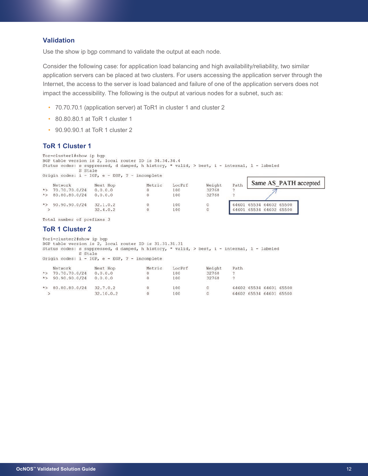# **Validation**

Use the show ip bgp command to validate the output at each node.

Consider the following case: for application load balancing and high availability/reliability, two similar application servers can be placed at two clusters. For users accessing the application server through the Internet, the access to the server is load balanced and failure of one of the application servers does not impact the accessibility. The following is the output at various nodes for a subnet, such as:

- 70.70.70.1 (application server) at ToR1 in cluster 1 and cluster 2
- 80.80.80.1 at ToR 1 cluster 1
- 90.90.90.1 at ToR 1 cluster 2

# **ToR 1 Cluster 1**

Tor-cluster1#show ip bgp BGP table version is 2, local router ID is 34.34.34.4 Status codes: s suppressed, d damped, h history, \* valid, > best, i - internal, 1 - labeled S Stale Origin codes:  $i - IGP$ , e - EGP, ? - incomplete Notric LegPre Moight Path Same AS PATH accepted Next Hon  $\mathbf{v}$   $\mathbf{v}$   $\mathbf{v}$   $\mathbf{v}$ 

| rath                    | weight | POCLET | Metric | Next HOD | NELWOLK               |  |
|-------------------------|--------|--------|--------|----------|-----------------------|--|
|                         | 32768  | 100    |        | 0.0.0.0  | $\star$ 70.70.70.0/24 |  |
|                         | 32768  | 100    |        | 0.0.0.0  | $\star$ 80.80.80.0/24 |  |
| 64601 65534 64602 65500 |        | 100    |        | 32.1.0.2 | *> $90.90.90.0/24$    |  |
| 64601 65534 64602 65500 |        | 100    |        | 32.4.0.2 |                       |  |
|                         |        |        |        |          |                       |  |

Total number of prefixes 3

#### **ToR 1 Cluster 2**

Torl-cluster2#show ip bgp BGP table version is 2, local router ID is 31.31.31.31 Status codes: s suppressed, d damped, h history, \* valid, > best, i - internal, 1 - labeled S Stale Origin codes:  $i - IGP$ , e - EGP, ? - incomplete

| Network                                                                                                                                | Next Hop  | Metric | LocPrf | Weight | Path |                         |  |
|----------------------------------------------------------------------------------------------------------------------------------------|-----------|--------|--------|--------|------|-------------------------|--|
| $\star$ 70.70.70.0/24                                                                                                                  | 0.0.0.0   |        | 100    | 32768  |      |                         |  |
| $\star$ 90.90.90.0/24<br>a conservative conservative conservative conservative and conservative conservative conservative conservative | 0.0.0.0   |        | 100    | 32768  |      |                         |  |
| $\star$ > 80.80.80.0/24                                                                                                                | 32.7.0.2  |        | 100    | 0      |      | 64602 65534 64601 65500 |  |
|                                                                                                                                        | 32.10.0.2 |        | 100    |        |      | 64602 65534 64601 65500 |  |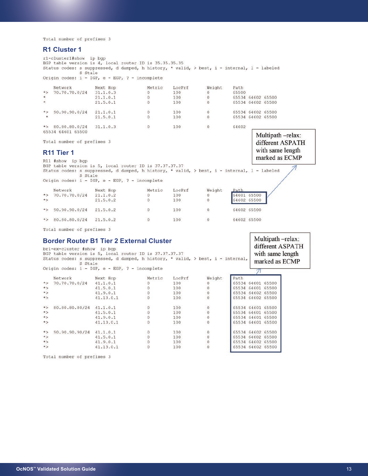Total number of prefixes 3

### **R1 Cluster 1**

rl-clusterl#show ip bgp BGP table version is 4, local router ID is 35.35.35.35 Status codes: s suppressed, d damped, h history, \* valid, > best, i - internal, 1 - labeled S Stale Origin codes:  $i - IGP$ , e - EGP, ? - incomplete Next Hop Metric LocPrf Weight Path Network  $\star$ 70.70.70.0/24  $31.1.0.3$  $\,$  0  $\,$ 100  $\mathbf 0$ 65500 65534 64602 65500  $21.1.0.1$  $\overline{0}$ 100  $\theta$  $\hat{\star}$ 65534 64602 65500  $\Omega$ 100  $\Omega$  $21.5.0.1$  $*$ 90.90.90.0/24  $21.1.0.1$  $\Omega$ 100  $\Omega$ 65534 64602 65500  $21.5.0.1$  $\overline{0}$ 100  $\circ$ 65534 64602 65500  $\star$  > 80.80.80.0/24  $31.1.0.3$  $\sqrt{0}$ 100  $\overline{0}$ 64602 65534 64601 65500 Multipath-relax: Total number of prefixes 3 different ASPATH

### **R11 Tier 1**

marked as ECMP R11 #show ip bgp BGP table version is 5, local router ID is 37.37.37.37 Status codes: s suppressed, d damped, h history, \* valid, > best, i - internal, 1 - labeled S Stale Origin codes:  $i - IGP$ , e - EGP, ? - incomplete Network Next Hop Metric LocPrf Weight Path  $\star$ 70.70.70.0/24  $21.1.0.2$  $\overline{0}$ 100  $\mathbf 0$ 64601 65500  $\star$  $21.5.0.2$  $\overline{0}$ 100  $\overline{0}$ 64602 65500  $\mathbf 0$  $\star$   $>$ 90.90.90.0/24  $21.5.0.2$ 100  $\mathbf 0$ 64602 65500 \*> 80.80.80.0/24 21.5.0.2  $\,0\,$ 100  $\circ$ 64602 65500

with same length

Multipath -relax:

Total number of prefixes 3

# **Border Router B1 Tier 2 External Cluster**<br>br1-ex-cluster **fshow** ip bgp

different ASPATH BGP table version is 5, local router ID is 37.37.37.37 with same length Status codes: s suppressed, d damped, h history, \* valid, > best, i - internal, marked as ECMP S Stale Origin codes: i - IGP, e - EGP, ? - incomplete  $\pi$ 

|          | Network        | Next Hop  | Metric | LocPrf | Weight         | Path              |
|----------|----------------|-----------|--------|--------|----------------|-------------------|
| $\star$  | 70.70.70.0/24  | 41.1.0.1  |        | 100    | 0              | 65534 64601 65500 |
| $*$      |                | 41.5.0.1  |        | 100    |                | 65534 64601 65500 |
| $*$      |                | 41.9.0.1  |        | 100    |                | 65534 64602 65500 |
| $\star>$ |                | 41.13.0.1 |        | 100    |                | 65534 64602 65500 |
| $*$      | 80.80.80.80/24 | 41.1.0.1  |        | 100    | $\overline{0}$ | 65534 64601 65500 |
| $\star$  |                | 41.5.0.1  |        | 100    |                | 65534 64601 65500 |
| $\star$  |                | 41.9.0.1  |        | 100    | $\Omega$       | 65534 64601 65500 |
| $*$      |                | 41.13.0.1 |        | 100    | $\circ$        | 65534 64601 65500 |
| $*$      | 90.90.90.90/24 | 41.1.0.1  |        | 100    |                | 65534 64602 65500 |
| $*$      |                | 41.5.0.1  |        | 100    |                | 65534 64602 65500 |
| $*$      |                | 41.9.0.1  |        | 100    |                | 65534 64602 65500 |
| $*$      |                | 41.13.0.1 |        | 100    |                | 65534 64602 65500 |

Total number of prefixes 3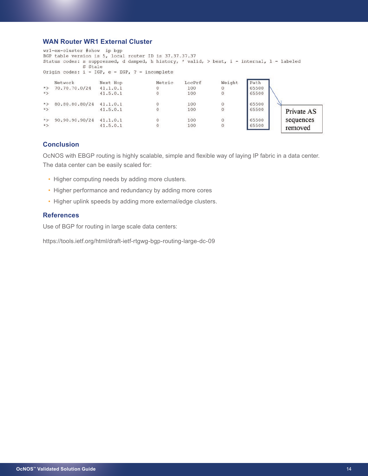# **WAN Router WR1 External Cluster**

wr1-ex-cluster #show ip bgp BGP table version is 5, local router ID is 37.37.37.37 Status codes: s suppressed, d damped, h history, \* valid, > best, i - internal, 1 - labeled S Stale Origin codes:  $i - IGP$ , e - EGP, ? - incomplete

|             | Network        | Next Hop | Metric | LocPrf | Weight | Path  |            |
|-------------|----------------|----------|--------|--------|--------|-------|------------|
| $*$         | 70.70.70.0/24  | 41.1.0.1 |        | 100    |        | 65500 |            |
| $\star$ $>$ |                | 41.5.0.1 |        | 100    |        | 65500 |            |
| $\star$     | 80.80.80.80/24 | 41.1.0.1 |        | 100    |        | 65500 |            |
| $\star >$   |                | 41.5.0.1 |        | 100    |        | 65500 | Private AS |
| $*$         | 90.90.90.90/24 | 41.1.0.1 |        | 100    |        | 65500 | sequences  |
| $\star>$    |                | 41.5.0.1 |        | 100    |        | 65500 | removed    |

# **Conclusion**

OcNOS with EBGP routing is highly scalable, simple and flexible way of laying IP fabric in a data center. The data center can be easily scaled for:

- Higher computing needs by adding more clusters.
- Higher performance and redundancy by adding more cores
- Higher uplink speeds by adding more external/edge clusters.

## **References**

Use of BGP for routing in large scale data centers:

https://tools.ietf.org/html/draft-ietf-rtgwg-bgp-routing-large-dc-09